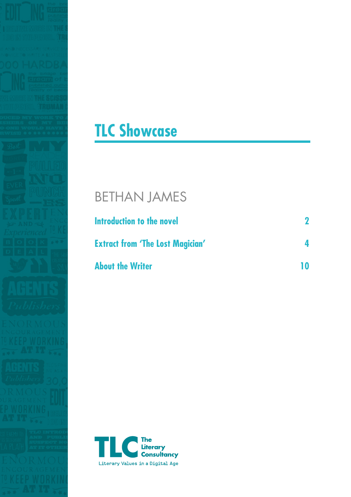

# **TLC Showcase**

## BETHAN JAMES

| Introduction to the novel               |  |
|-----------------------------------------|--|
| <b>Extract from 'The Lost Magician'</b> |  |
| <b>About the Writer</b>                 |  |

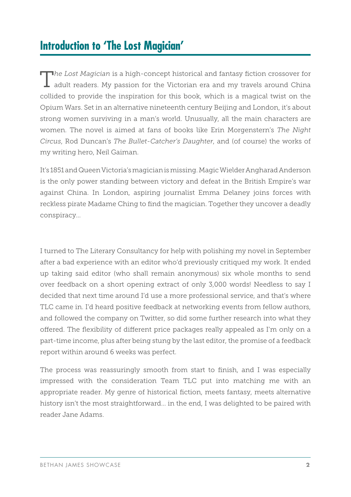### **Introduction to 'The Lost Magician'**

T*he Lost Magician* is a high-concept historical and fantasy fiction crossover for adult readers. My passion for the Victorian era and my travels around China collided to provide the inspiration for this book, which is a magical twist on the Opium Wars. Set in an alternative nineteenth century Beijing and London, it's about strong women surviving in a man's world. Unusually, all the main characters are women. The novel is aimed at fans of books like Erin Morgenstern's *The Night Circus*, Rod Duncan's *The Bullet-Catcher's Daughter*, and (of course) the works of my writing hero, Neil Gaiman.

It's 1851 and Queen Victoria's magician is missing. Magic Wielder Angharad Anderson is the only power standing between victory and defeat in the British Empire's war against China. In London, aspiring journalist Emma Delaney joins forces with reckless pirate Madame Ching to find the magician. Together they uncover a deadly conspiracy…

I turned to The Literary Consultancy for help with polishing my novel in September after a bad experience with an editor who'd previously critiqued my work. It ended up taking said editor (who shall remain anonymous) six whole months to send over feedback on a short opening extract of only 3,000 words! Needless to say I decided that next time around I'd use a more professional service, and that's where TLC came in. I'd heard positive feedback at networking events from fellow authors, and followed the company on Twitter, so did some further research into what they offered. The flexibility of different price packages really appealed as I'm only on a part-time income, plus after being stung by the last editor, the promise of a feedback report within around 6 weeks was perfect.

The process was reassuringly smooth from start to finish, and I was especially impressed with the consideration Team TLC put into matching me with an appropriate reader. My genre of historical fiction, meets fantasy, meets alternative history isn't the most straightforward… in the end, I was delighted to be paired with reader Jane Adams.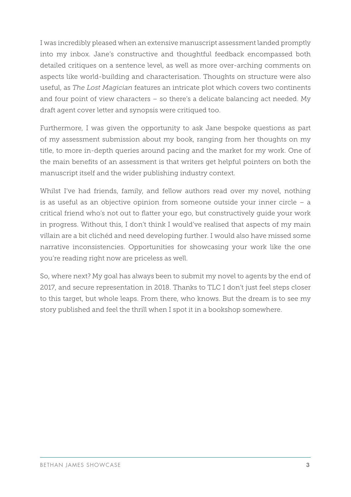I was incredibly pleased when an extensive manuscript assessment landed promptly into my inbox. Jane's constructive and thoughtful feedback encompassed both detailed critiques on a sentence level, as well as more over-arching comments on aspects like world-building and characterisation. Thoughts on structure were also useful, as *The Lost Magician* features an intricate plot which covers two continents and four point of view characters – so there's a delicate balancing act needed. My draft agent cover letter and synopsis were critiqued too.

Furthermore, I was given the opportunity to ask Jane bespoke questions as part of my assessment submission about my book, ranging from her thoughts on my title, to more in-depth queries around pacing and the market for my work. One of the main benefits of an assessment is that writers get helpful pointers on both the manuscript itself and the wider publishing industry context.

Whilst I've had friends, family, and fellow authors read over my novel, nothing is as useful as an objective opinion from someone outside your inner circle – a critical friend who's not out to flatter your ego, but constructively guide your work in progress. Without this, I don't think I would've realised that aspects of my main villain are a bit clichéd and need developing further. I would also have missed some narrative inconsistencies. Opportunities for showcasing your work like the one you're reading right now are priceless as well.

So, where next? My goal has always been to submit my novel to agents by the end of 2017, and secure representation in 2018. Thanks to TLC I don't just feel steps closer to this target, but whole leaps. From there, who knows. But the dream is to see my story published and feel the thrill when I spot it in a bookshop somewhere.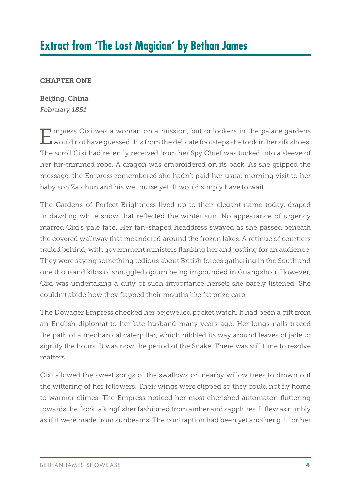### **Extract from 'The Lost Magician' by Bethan James**

#### CHAPTER ONE

Beijing, China *February 1851*

Empress Cixi was a woman on a mission, but onlookers in the palace gardens would not have guessed this from the delicate footsteps she took in her silk shoes. The scroll Cixi had recently received from her Spy Chief was tucked into a sleeve of her fur-trimmed robe. A dragon was embroidered on its back. As she gripped the message, the Empress remembered she hadn't paid her usual morning visit to her baby son Zaichun and his wet nurse yet. It would simply have to wait.

The Gardens of Perfect Brightness lived up to their elegant name today, draped in dazzling white snow that reflected the winter sun. No appearance of urgency marred Cixi's pale face. Her fan-shaped headdress swayed as she passed beneath the covered walkway that meandered around the frozen lakes. A retinue of courtiers trailed behind, with government ministers flanking her and jostling for an audience. They were saying something tedious about British forces gathering in the South and one thousand kilos of smuggled opium being impounded in Guangzhou. However, Cixi was undertaking a duty of such importance herself she barely listened. She couldn't abide how they flapped their mouths like fat prize carp.

The Dowager Empress checked her bejewelled pocket watch. It had been a gift from an English diplomat to her late husband many years ago. Her longs nails traced the path of a mechanical caterpillar, which nibbled its way around leaves of jade to signify the hours. It was now the period of the Snake. There was still time to resolve matters.

Cixi allowed the sweet songs of the swallows on nearby willow trees to drown out the wittering of her followers. Their wings were clipped so they could not fly home to warmer climes. The Empress noticed her most cherished automaton fluttering towards the flock: a kingfisher fashioned from amber and sapphires. It flew as nimbly as if it were made from sunbeams. The contraption had been yet another gift for her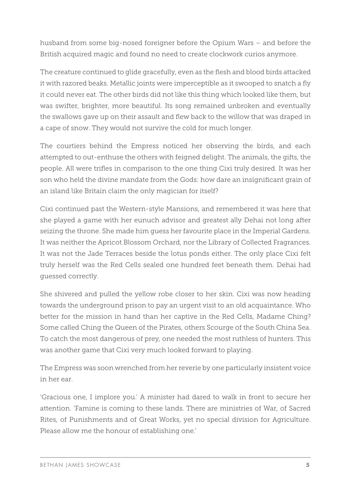husband from some big-nosed foreigner before the Opium Wars – and before the British acquired magic and found no need to create clockwork curios anymore.

The creature continued to glide gracefully, even as the flesh and blood birds attacked it with razored beaks. Metallic joints were imperceptible as it swooped to snatch a fly it could never eat. The other birds did not like this thing which looked like them, but was swifter, brighter, more beautiful. Its song remained unbroken and eventually the swallows gave up on their assault and flew back to the willow that was draped in a cape of snow. They would not survive the cold for much longer.

The courtiers behind the Empress noticed her observing the birds, and each attempted to out-enthuse the others with feigned delight. The animals, the gifts, the people. All were trifles in comparison to the one thing Cixi truly desired. It was her son who held the divine mandate from the Gods: how dare an insignificant grain of an island like Britain claim the only magician for itself?

Cixi continued past the Western-style Mansions, and remembered it was here that she played a game with her eunuch advisor and greatest ally Dehai not long after seizing the throne. She made him guess her favourite place in the Imperial Gardens. It was neither the Apricot Blossom Orchard, nor the Library of Collected Fragrances. It was not the Jade Terraces beside the lotus ponds either. The only place Cixi felt truly herself was the Red Cells sealed one hundred feet beneath them. Dehai had guessed correctly.

She shivered and pulled the yellow robe closer to her skin. Cixi was now heading towards the underground prison to pay an urgent visit to an old acquaintance. Who better for the mission in hand than her captive in the Red Cells, Madame Ching? Some called Ching the Queen of the Pirates, others Scourge of the South China Sea. To catch the most dangerous of prey, one needed the most ruthless of hunters. This was another game that Cixi very much looked forward to playing.

The Empress was soon wrenched from her reverie by one particularly insistent voice in her ear.

'Gracious one, I implore you.' A minister had dared to walk in front to secure her attention. 'Famine is coming to these lands. There are ministries of War, of Sacred Rites, of Punishments and of Great Works, yet no special division for Agriculture. Please allow me the honour of establishing one.'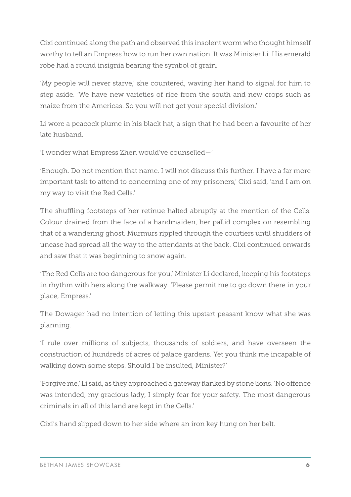Cixi continued along the path and observed this insolent worm who thought himself worthy to tell an Empress how to run her own nation. It was Minister Li. His emerald robe had a round insignia bearing the symbol of grain.

'My people will never starve,' she countered, waving her hand to signal for him to step aside. 'We have new varieties of rice from the south and new crops such as maize from the Americas. So you will not get your special division.'

Li wore a peacock plume in his black hat, a sign that he had been a favourite of her late husband.

'I wonder what Empress Zhen would've counselled—'

'Enough. Do not mention that name. I will not discuss this further. I have a far more important task to attend to concerning one of my prisoners,' Cixi said, 'and I am on my way to visit the Red Cells.'

The shuffling footsteps of her retinue halted abruptly at the mention of the Cells. Colour drained from the face of a handmaiden, her pallid complexion resembling that of a wandering ghost. Murmurs rippled through the courtiers until shudders of unease had spread all the way to the attendants at the back. Cixi continued onwards and saw that it was beginning to snow again.

'The Red Cells are too dangerous for you,' Minister Li declared, keeping his footsteps in rhythm with hers along the walkway. 'Please permit me to go down there in your place, Empress.'

The Dowager had no intention of letting this upstart peasant know what she was planning.

'I rule over millions of subjects, thousands of soldiers, and have overseen the construction of hundreds of acres of palace gardens. Yet you think me incapable of walking down some steps. Should I be insulted, Minister?'

'Forgive me,' Li said, as they approached a gateway flanked by stone lions. 'No offence was intended, my gracious lady, I simply fear for your safety. The most dangerous criminals in all of this land are kept in the Cells.'

Cixi's hand slipped down to her side where an iron key hung on her belt.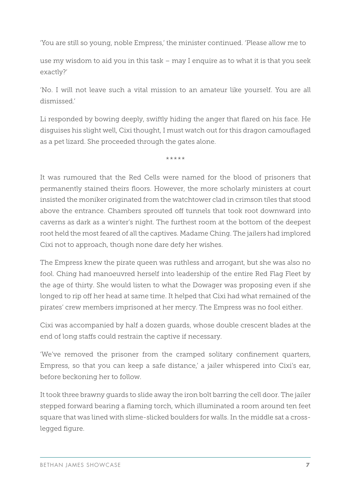'You are still so young, noble Empress,' the minister continued. 'Please allow me to

use my wisdom to aid you in this task – may I enquire as to what it is that you seek exactly?'

'No. I will not leave such a vital mission to an amateur like yourself. You are all dismissed.'

Li responded by bowing deeply, swiftly hiding the anger that flared on his face. He disguises his slight well, Cixi thought, I must watch out for this dragon camouflaged as a pet lizard. She proceeded through the gates alone.

\*\*\*\*\*

It was rumoured that the Red Cells were named for the blood of prisoners that permanently stained theirs floors. However, the more scholarly ministers at court insisted the moniker originated from the watchtower clad in crimson tiles that stood above the entrance. Chambers sprouted off tunnels that took root downward into caverns as dark as a winter's night. The furthest room at the bottom of the deepest root held the most feared of all the captives. Madame Ching. The jailers had implored Cixi not to approach, though none dare defy her wishes.

The Empress knew the pirate queen was ruthless and arrogant, but she was also no fool. Ching had manoeuvred herself into leadership of the entire Red Flag Fleet by the age of thirty. She would listen to what the Dowager was proposing even if she longed to rip off her head at same time. It helped that Cixi had what remained of the pirates' crew members imprisoned at her mercy. The Empress was no fool either.

Cixi was accompanied by half a dozen guards, whose double crescent blades at the end of long staffs could restrain the captive if necessary.

'We've removed the prisoner from the cramped solitary confinement quarters, Empress, so that you can keep a safe distance,' a jailer whispered into Cixi's ear, before beckoning her to follow.

It took three brawny guards to slide away the iron bolt barring the cell door. The jailer stepped forward bearing a flaming torch, which illuminated a room around ten feet square that was lined with slime-slicked boulders for walls. In the middle sat a crosslegged figure.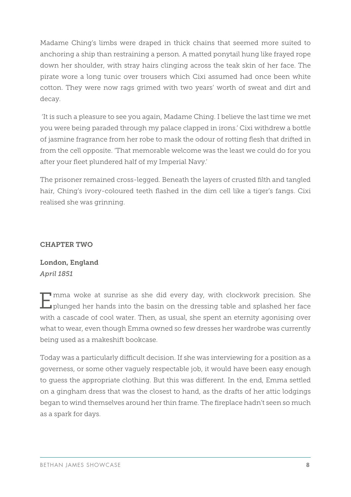Madame Ching's limbs were draped in thick chains that seemed more suited to anchoring a ship than restraining a person. A matted ponytail hung like frayed rope down her shoulder, with stray hairs clinging across the teak skin of her face. The pirate wore a long tunic over trousers which Cixi assumed had once been white cotton. They were now rags grimed with two years' worth of sweat and dirt and decay.

 'It is such a pleasure to see you again, Madame Ching. I believe the last time we met you were being paraded through my palace clapped in irons.' Cixi withdrew a bottle of jasmine fragrance from her robe to mask the odour of rotting flesh that drifted in from the cell opposite. 'That memorable welcome was the least we could do for you after your fleet plundered half of my Imperial Navy.'

The prisoner remained cross-legged. Beneath the layers of crusted filth and tangled hair, Ching's ivory-coloured teeth flashed in the dim cell like a tiger's fangs. Cixi realised she was grinning.

#### CHAPTER TWO

London, England *April 1851*

Imma woke at sunrise as she did every day, with clockwork precision. She **L**uplunged her hands into the basin on the dressing table and splashed her face with a cascade of cool water. Then, as usual, she spent an eternity agonising over what to wear, even though Emma owned so few dresses her wardrobe was currently being used as a makeshift bookcase.

Today was a particularly difficult decision. If she was interviewing for a position as a governess, or some other vaguely respectable job, it would have been easy enough to guess the appropriate clothing. But this was different. In the end, Emma settled on a gingham dress that was the closest to hand, as the drafts of her attic lodgings began to wind themselves around her thin frame. The fireplace hadn't seen so much as a spark for days.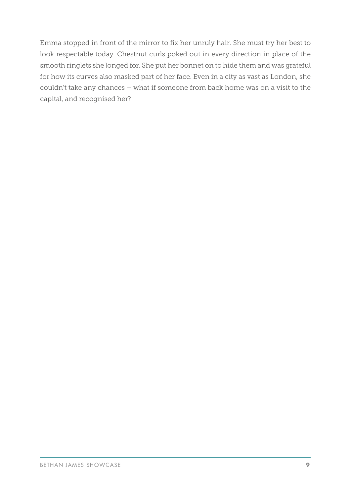Emma stopped in front of the mirror to fix her unruly hair. She must try her best to look respectable today. Chestnut curls poked out in every direction in place of the smooth ringlets she longed for. She put her bonnet on to hide them and was grateful for how its curves also masked part of her face. Even in a city as vast as London, she couldn't take any chances – what if someone from back home was on a visit to the capital, and recognised her?